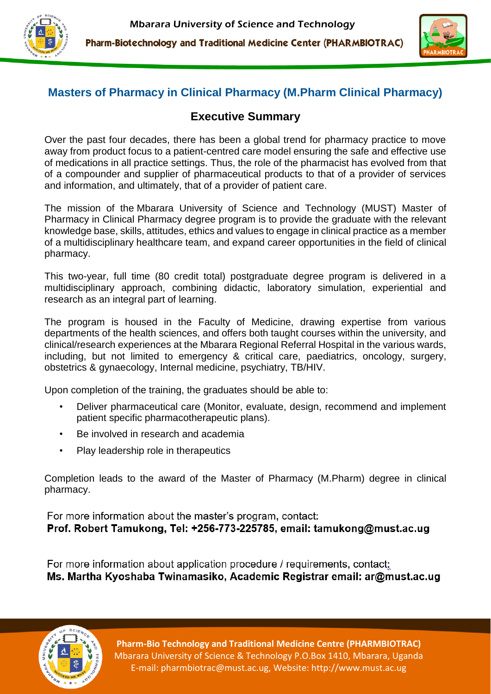



# **Masters of Pharmacy in Clinical Pharmacy (M.Pharm Clinical Pharmacy)**

## **Executive Summary**

Over the past four decades, there has been a global trend for pharmacy practice to move away from product focus to a patient-centred care model ensuring the safe and effective use of medications in all practice settings. Thus, the role of the pharmacist has evolved from that of a compounder and supplier of pharmaceutical products to that of a provider of services and information, and ultimately, that of a provider of patient care.

The mission of the Mbarara University of Science and Technology (MUST) Master of Pharmacy in Clinical Pharmacy degree program is to provide the graduate with the relevant knowledge base, skills, attitudes, ethics and values to engage in clinical practice as a member of a multidisciplinary healthcare team, and expand career opportunities in the field of clinical pharmacy.

This two-year, full time (80 credit total) postgraduate degree program is delivered in a multidisciplinary approach, combining didactic, laboratory simulation, experiential and research as an integral part of learning.

The program is housed in the Faculty of Medicine, drawing expertise from various departments of the health sciences, and offers both taught courses within the university, and clinical/research experiences at the Mbarara Regional Referral Hospital in the various wards, including, but not limited to emergency & critical care, paediatrics, oncology, surgery, obstetrics & gynaecology, Internal medicine, psychiatry, TB/HIV.

Upon completion of the training, the graduates should be able to:

- Deliver pharmaceutical care (Monitor, evaluate, design, recommend and implement patient specific pharmacotherapeutic plans).
- Be involved in research and academia
- Play leadership role in therapeutics

Completion leads to the award of the Master of Pharmacy (M.Pharm) degree in clinical pharmacy.

For more information about the master's program, contact: Prof. Robert Tamukong, Tel: +256-773-225785, email: tamukong@must.ac.ug

For more information about application procedure / requirements, contact: Ms. Martha Kyoshaba Twinamasiko, Academic Registrar email: ar@must.ac.ug